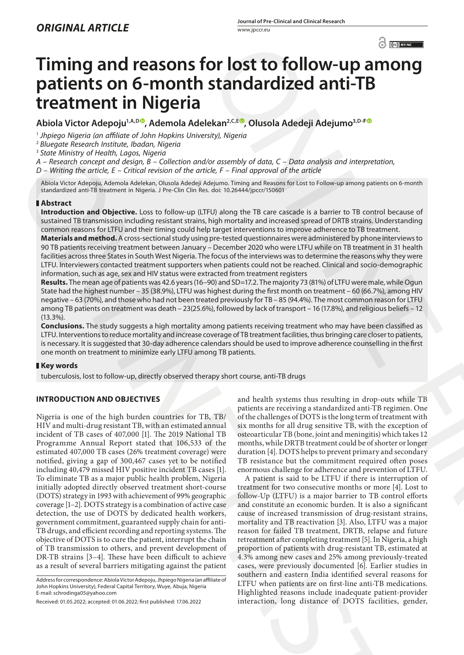# **Timing and reasons for lost to follow-up among patients on 6-month standardized anti-TB treatment in Nigeria**

**Abiola Victor Adepoju1,A,D , Ademola Adelekan2,C,E , Olusola Adedeji Adejumo3,D-<sup>F</sup>**

<sup>1</sup> *Jhpiego Nigeria (an affiliate of John Hopkins University), Nigeria*

<sup>2</sup> *Bluegate Research Institute, Ibadan, Nigeria*

<sup>3</sup> *State Ministry of Health, Lagos, Nigeria*

*A – Research concept and design, B – Collection and/or assembly of data, C – Data analysis and interpretation,* 

*D – Writing the article, E – Critical revision of the article, F – Final approval of the article*

Abiola Victor Adepoju, Ademola Adelekan, Olusola Adedeji Adejumo. Timing and Reasons for Lost to Follow-up among patients on 6-month standardized anti-TB treatment in Nigeria. J Pre-Clin Clin Res. doi: 10.26444/jpccr/150601

# **Abstract**

**Introduction and Objective.** Loss to follow-up (LTFU) along the TB care cascade is a barrier to TB control because of sustained TB transmission including resistant strains, high mortality and increased spread of DRTB strains. Understanding common reasons for LTFU and their timing could help target interventions to improve adherence to TB treatment.

**Materials and method.** A cross-sectional study using pre-tested questionnaires were administered by phone interviews to 90 TB patients receiving treatment between January – December 2020 who were LTFU while on TB treatment in 31 health facilities across three States in South West Nigeria. The focus of the interviews was to determine the reasons why they were LTFU. Interviewers contacted treatment supporters when patients could not be reached. Clinical and socio-demographic information, such as age, sex and HIV status were extracted from treatment registers

Results. The mean age of patients was 42.6 years (16-90) and SD=17.2. The majority 73 (81%) of LTFU were male, while Ogun State had the highest number – 35 (38.9%), LTFU was highest during the first month on treatment – 60 (66.7%), among HIV negative – 63 (70%), and those who had not been treated previously for TB – 85 (94.4%). The most common reason for LTFU among TB patients on treatment was death – 23(25.6%), followed by lack of transport – 16 (17.8%), and religious beliefs – 12 (13.3%).

**Conclusions.** The study suggests a high mortality among patients receiving treatment who may have been classified as LTFU. Interventions to reduce mortality and increase coverage of TB treatment facilities, thus bringing care closer to patients, is necessary. It is suggested that 30-day adherence calendars should be used to improve adherence counselling in the first one month on treatment to minimize early LTFU among TB patients.

# **Key words**

tuberculosis, lost to follow-up, directly observed therapy short course, anti-TB drugs

# **INTRODUCTION AND OBJECTIVES**

Nigeria is one of the high burden countries for TB, TB/ HIV and multi-drug resistant TB, with an estimated annual incident of TB cases of 407,000 [1]. The 2019 National TB Programme Annual Report stated that 106,533 of the estimated 407,000 TB cases (26% treatment coverage) were notified, giving a gap of 300,467 cases yet to be notified including 40,479 missed HIV positive incident TB cases [1]. To eliminate TB as a major public health problem, Nigeria initially adopted directly observed treatment short-course (DOTS) strategy in 1993 with achievement of 99% geographic coverage [1–2]. DOTS strategy is a combination of active case detection, the use of DOTS by dedicated health workers, government commitment, guaranteed supply chain for anti-TB drugs, and efficient recording and reporting systems. The objective of DOTS is to cure the patient, interrupt the chain of TB transmission to others, and prevent development of DR-TB strains [3–4]. These have been difficult to achieve as a result of several barriers mitigating against the patient Note the<br>non-type increasing maps, where the results and the control of the<br>same strength and the results and the results and the results and the<br>same strength of the same strength of the strength of the strength of the<br>s

and health systems thus resulting in drop-outs while TB patients are receiving a standardized anti-TB regimen. One of the challenges of DOTS is the long term of treatment with six months for all drug sensitive TB, with the exception of osteoarticular TB (bone, joint and meningitis) which takes 12 months, while DRTB treatment could be of shorter or longer duration [4]. DOTS helps to prevent primary and secondary TB resistance but the commitment required often poses enormous challenge for adherence and prevention of LTFU.

A patient is said to be LTFU if there is interruption of treatment for two consecutive months or more [4]. Lost to follow-Up (LTFU) is a major barrier to TB control efforts and constitute an economic burden. It is also a significant cause of increased transmission of drug-resistant strains, mortality and TB reactivation [3]. Also, LTFU was a major reason for failed TB treatment, DRTB, relapse and future retreatment after completing treatment [5]. In Nigeria, a high proportion of patients with drug-resistant TB, estimated at 4.3% among new cases and 25% among previously-treated cases, were previously documented [6]. Earlier studies in southern and eastern India identified several reasons for LTFU when patients are on first-line anti-TB medications. Highlighted reasons include inadequate patient-provider interaction, long distance of DOTS facilities, gender,  $\odot$  **Fourth C[O](https://orcid.org/0000-0001-5729-6824)NTING FOR CONTING TO A CONTING FOR CONTINUATION**<br>
Standard Control Control Control Control Control Control Control Control Control Control Control Control Control Control Control Control Control Control Co

Address for correspondence: Abiola Victor Adepoju, Jhpiego Nigeria (an affiliate of John Hopkins University), Federal Capital Territory, Wuye, Abuja, Nigeria E-mail: schrodinga05@yahoo.com

Received: 01.05.2022; accepted: 01.06.2022; first published: 17.06.2022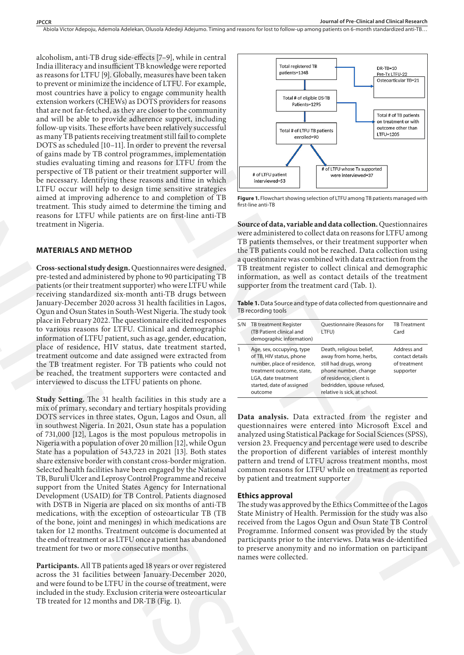alcoholism, anti-TB drug side-effects [7–9], while in central India illiteracy and insufficient TB knowledge were reported as reasons for LTFU [9]. Globally, measures have been taken to prevent or minimize the incidence of LTFU. For example, most countries have a policy to engage community health extension workers (CHEWs) as DOTS providers for reasons that are not far-fetched, as they are closer to the community and will be able to provide adherence support, including follow-up visits. These efforts have been relatively successful as many TB patients receiving treatment still fail to complete DOTS as scheduled [10–11]. In order to prevent the reversal of gains made by TB control programmes, implementation studies evaluating timing and reasons for LTFU from the perspective of TB patient or their treatment supporter will be necessary. Identifying these reasons and time in which LTFU occur will help to design time sensitive strategies aimed at improving adherence to and completion of TB treatment. This study aimed to determine the timing and reasons for LTFU while patients are on first-line anti-TB treatment in Nigeria.

### **MATERIALS AND METHOD**

**Cross-sectional study design.** Questionnaires were designed, pre-tested and administered by phone to 90 participating TB patients (or their treatment supporter) who were LTFU while receiving standardized six-month anti-TB drugs between January-December 2020 across 31 health facilities in Lagos, Ogun and Osun States in South-West Nigeria. The study took place in February 2022. The questionnaire elicited responses to various reasons for LTFU. Clinical and demographic information of LTFU patient, such as age, gender, education, place of residence, HIV status, date treatment started, treatment outcome and date assigned were extracted from the TB treatment register. For TB patients who could not be reached, the treatment supporters were contacted and interviewed to discuss the LTFU patients on phone.

**Study Setting.** The 31 health facilities in this study are a mix of primary, secondary and tertiary hospitals providing DOTS services in three states, Ogun, Lagos and Osun, all in southwest Nigeria. In 2021, Osun state has a population of 731,000 [12], Lagos is the most populous metropolis in Nigeria with a population of over 20 million [12], while Ogun State has a population of 543,723 in 2021 [13]. Both states share extensive border with constant cross-border migration. Selected health facilities have been engaged by the National TB, Buruli Ulcer and Leprosy Control Programme and receive support from the United States Agency for International Development (USAID) for TB Control. Patients diagnosed with DSTB in Nigeria are placed on six months of anti-TB medications, with the exception of osteoarticular TB (TB of the bone, joint and meninges) in which medications are taken for 12 months. Treatment outcome is documented at the end of treatment or as LTFU once a patient has abandoned treatment for two or more consecutive months. of gains made by 178 control programme, implementation<br>
gradie evolutionly timing and reasons for ETFU from the<br>
persective of TB patter of their treatment supportion<br>
by recovering these reasons and time in which<br>
intere

**Participants.** All TB patients aged 18 years or over registered across the 31 facilities between January-December 2020, and were found to be LTFU in the course of treatment, were included in the study. Exclusion criteria were osteoarticular TB treated for 12 months and DR-TB (Fig. 1).



**Figure 1.** Flowchart showing selection of LTFU among TB patients managed with first-line anti-TB

**Source of data, variable and data collection.** Questionnaires were administered to collect data on reasons for LTFU among TB patients themselves, or their treatment supporter when the TB patients could not be reached. Data collection using a questionnaire was combined with data extraction from the TB treatment register to collect clinical and demographic information, as well as contact details of the treatment supporter from the treatment card (Tab. 1).

Table 1. Data Source and type of data collected from questionnaire and TB recording tools

| S/N | <b>TB treatment Register</b><br>(TB Patient clinical and<br>demographic information)                                                                                             | Questionnaire (Reasons for<br>LTFU)                                                                                                                                                           | <b>TB Treatment</b><br>Card                                 |
|-----|----------------------------------------------------------------------------------------------------------------------------------------------------------------------------------|-----------------------------------------------------------------------------------------------------------------------------------------------------------------------------------------------|-------------------------------------------------------------|
| 1   | Age, sex, occupying, type<br>of TB, HIV status, phone<br>number, place of residence,<br>treatment outcome, state,<br>LGA, date treatment<br>started, date of assigned<br>outcome | Death, religious belief,<br>away from home, herbs,<br>still had drugs, wrong<br>phone number, change<br>of residence, client is<br>bedridden, spouse refused,<br>relative is sick, at school. | Address and<br>contact details<br>of treatment<br>supporter |
|     |                                                                                                                                                                                  |                                                                                                                                                                                               |                                                             |

**Data analysis.** Data extracted from the register and questionnaires were entered into Microsoft Excel and analyzed using Statistical Package for Social Sciences (SPSS), version 23. Frequency and percentage were used to describe the proportion of different variables of interest monthly pattern and trend of LTFU across treatment months, most common reasons for LTFU while on treatment as reported by patient and treatment supporter

#### **Ethics approval**

The study was approved by the Ethics Committee of the Lagos State Ministry of Health. Permission for the study was also received from the Lagos Ogun and Osun State TB Control Programme. Informed consent was provided by the study participants prior to the interviews. Data was de-identified to preserve anonymity and no information on participant names were collected.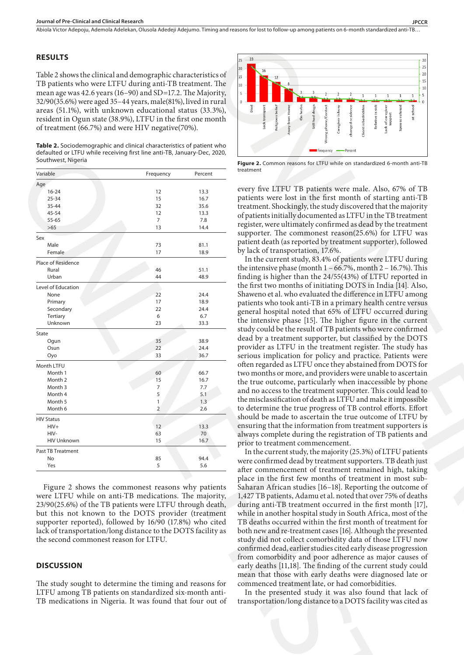Abiola Victor Adepoju, Ademola Adelekan, Olusola Adedeji Adejumo . Timing and reasons for lost to follow-up among patients on 6-month standardized anti-TB…

## **RESULTS**

Table 2 shows the clinical and demographic characteristics of TB patients who were LTFU during anti-TB treatment. The mean age was 42.6 years (16–90) and SD=17.2. The Majority, 32/90(35.6%) were aged 35–44 years, male(81%), lived in rural areas (51.1%), with unknown educational status (33.3%), resident in Ogun state (38.9%), LTFU in the first one month of treatment (66.7%) and were HIV negative(70%).

**Table 2.** Sociodemographic and clinical characteristics of patient who defaulted or LTFU while receiving first line anti-TB, January-Dec, 2020, Southwest, Nigeria

| Age                                                                                                                                                                                                                                                                                      |                | Percent      |                                                                                                                                                                                                                                                      |
|------------------------------------------------------------------------------------------------------------------------------------------------------------------------------------------------------------------------------------------------------------------------------------------|----------------|--------------|------------------------------------------------------------------------------------------------------------------------------------------------------------------------------------------------------------------------------------------------------|
| $16 - 24$                                                                                                                                                                                                                                                                                | 12             | 13.3         | every five LTFU TB patients were male. Als                                                                                                                                                                                                           |
| $25 - 34$                                                                                                                                                                                                                                                                                | 15             | 16.7         | patients were lost in the first month of star                                                                                                                                                                                                        |
| 35-44                                                                                                                                                                                                                                                                                    | 32             | 35.6         | treatment. Shockingly, the study discovered that                                                                                                                                                                                                     |
| 45-54                                                                                                                                                                                                                                                                                    | 12             | 13.3         |                                                                                                                                                                                                                                                      |
| 55-65                                                                                                                                                                                                                                                                                    | 7              | 7.8          | of patients initially documented as LTFU in the                                                                                                                                                                                                      |
| >65                                                                                                                                                                                                                                                                                      | 13             | 14.4         | register, were ultimately confirmed as dead by                                                                                                                                                                                                       |
| Sex                                                                                                                                                                                                                                                                                      |                |              | supporter. The commonest reason(25.6%) fo                                                                                                                                                                                                            |
| Male                                                                                                                                                                                                                                                                                     | 73             | 81.1         | patient death (as reported by treatment suppor                                                                                                                                                                                                       |
| Female                                                                                                                                                                                                                                                                                   | 17             | 18.9         | by lack of transportation, 17.6%.                                                                                                                                                                                                                    |
|                                                                                                                                                                                                                                                                                          |                |              | In the current study, 83.4% of patients were                                                                                                                                                                                                         |
| Place of Residence<br>Rural                                                                                                                                                                                                                                                              | 46             | 51.1         | the intensive phase (month $1 - 66.7$ %, month 2                                                                                                                                                                                                     |
| Urban                                                                                                                                                                                                                                                                                    | 44             | 48.9         | finding is higher than the 24/55(43%) of LTF                                                                                                                                                                                                         |
|                                                                                                                                                                                                                                                                                          |                |              | the first two months of initiating DOTS in In                                                                                                                                                                                                        |
| Level of Education                                                                                                                                                                                                                                                                       |                |              |                                                                                                                                                                                                                                                      |
| None                                                                                                                                                                                                                                                                                     | 22             | 24.4         | Shaweno et al. who evaluated the difference in                                                                                                                                                                                                       |
| Primary                                                                                                                                                                                                                                                                                  | 17<br>22       | 18.9         | patients who took anti-TB in a primary health                                                                                                                                                                                                        |
| Secondary<br>Tertiary                                                                                                                                                                                                                                                                    | 6              | 24.4<br>6.7  | general hospital noted that 65% of LTFU occ                                                                                                                                                                                                          |
| Unknown                                                                                                                                                                                                                                                                                  | 23             | 33.3         | the intensive phase [15]. The higher figure is                                                                                                                                                                                                       |
|                                                                                                                                                                                                                                                                                          |                |              | study could be the result of TB patients who we                                                                                                                                                                                                      |
| State                                                                                                                                                                                                                                                                                    |                |              | dead by a treatment supporter, but classified                                                                                                                                                                                                        |
| Ogun                                                                                                                                                                                                                                                                                     | 35<br>22       | 38.9         | provider as LTFU in the treatment register.                                                                                                                                                                                                          |
| Osun<br>Oyo                                                                                                                                                                                                                                                                              | 33             | 24.4<br>36.7 | serious implication for policy and practice.                                                                                                                                                                                                         |
|                                                                                                                                                                                                                                                                                          |                |              |                                                                                                                                                                                                                                                      |
| Month LTFU                                                                                                                                                                                                                                                                               |                |              | often regarded as LTFU once they abstained fr                                                                                                                                                                                                        |
| Month 1                                                                                                                                                                                                                                                                                  | 60             | 66.7         | two months or more, and providers were unab-                                                                                                                                                                                                         |
| Month 2<br>Month 3                                                                                                                                                                                                                                                                       | 15<br>7        | 16.7<br>7.7  | the true outcome, particularly when inaccess                                                                                                                                                                                                         |
| Month 4                                                                                                                                                                                                                                                                                  | 5              | 5.1          | and no access to the treatment supporter. This                                                                                                                                                                                                       |
| Month 5                                                                                                                                                                                                                                                                                  | $\mathbf{1}$   | 1.3          | the misclassification of death as LTFU and mak                                                                                                                                                                                                       |
| Month 6                                                                                                                                                                                                                                                                                  | $\overline{2}$ | 2.6          | to determine the true progress of TB control                                                                                                                                                                                                         |
|                                                                                                                                                                                                                                                                                          |                |              | should be made to ascertain the true outcom                                                                                                                                                                                                          |
| <b>HIV Status</b><br>$HIV+$                                                                                                                                                                                                                                                              | 12             | 13.3         | ensuring that the information from treatment                                                                                                                                                                                                         |
| HIV-                                                                                                                                                                                                                                                                                     | 63             | 70           |                                                                                                                                                                                                                                                      |
| <b>HIV Unknown</b>                                                                                                                                                                                                                                                                       | 15             | 16.7         | always complete during the registration of TI                                                                                                                                                                                                        |
|                                                                                                                                                                                                                                                                                          |                |              | prior to treatment commencement.                                                                                                                                                                                                                     |
| Past TB Treatment                                                                                                                                                                                                                                                                        |                |              | In the current study, the majority (25.3%) of I                                                                                                                                                                                                      |
|                                                                                                                                                                                                                                                                                          | 85             | 94.4         | were confirmed dead by treatment supporters.                                                                                                                                                                                                         |
| No                                                                                                                                                                                                                                                                                       |                |              |                                                                                                                                                                                                                                                      |
| Yes                                                                                                                                                                                                                                                                                      | 5              | 5.6          | after commencement of treatment remained<br>place in the first few months of treatment                                                                                                                                                               |
| Figure 2 shows the commonest reasons why patients<br>were LTFU while on anti-TB medications. The majority,<br>23/90(25.6%) of the TB patients were LTFU through death,<br>but this not known to the DOTS provider (treatment<br>supporter reported), followed by 16/90 (17.8%) who cited |                |              | Saharan African studies [16-18]. Reporting th<br>1,427 TB patients, Adamu et al. noted that over<br>during anti-TB treatment occurred in the first<br>while in another hospital study in South Afric<br>TB deaths occurred within the first month of |
| lack of transportation/long distance to the DOTS facility as<br>the second commonest reason for LTFU.                                                                                                                                                                                    |                |              | both new and re-treatment cases [16]. Although<br>study did not collect comorbidity data of tho<br>confirmed dead, earlier studies cited early disea.<br>from comorbidity and poor adherence as ma                                                   |
| <b>DISCUSSION</b><br>The study sought to determine the timing and reasons for<br>LTFU among TB patients on standardized six-month anti-                                                                                                                                                  |                |              | early deaths [11,18]. The finding of the curren<br>mean that those with early deaths were diag<br>commenced treatment late, or had comorbidi<br>In the presented study it was also found                                                             |

# **DISCUSSION**



**Figure 2.** Common reasons for LTFU while on standardized 6-month anti-TB treatment

every five LTFU TB patients were male. Also, 67% of TB patients were lost in the first month of starting anti-TB treatment. Shockingly, the study discovered that the majority of patients initially documented as LTFU in the TB treatment register, were ultimately confirmed as dead by the treatment supporter. The commonest reason(25.6%) for LTFU was patient death (as reported by treatment supporter), followed by lack of transportation, 17.6%.

In the current study, 83.4% of patients were LTFU during the intensive phase (month  $1 - 66.7$ %, month  $2 - 16.7$ %). This finding is higher than the 24/55(43%) of LTFU reported in the first two months of initiating DOTS in India [14]. Also, Shaweno et al. who evaluated the difference in LTFU among patients who took anti-TB in a primary health centre versus general hospital noted that 65% of LTFU occurred during the intensive phase [15]. The higher figure in the current study could be the result of TB patients who were confirmed dead by a treatment supporter, but classified by the DOTS provider as LTFU in the treatment register. The study has serious implication for policy and practice. Patients were often regarded as LTFU once they abstained from DOTS for two months or more, and providers were unable to ascertain the true outcome, particularly when inaccessible by phone and no access to the treatment supporter. This could lead to the misclassification of death as LTFU and make it impossible to determine the true progress of TB control efforts. Effort should be made to ascertain the true outcome of LTFU by ensuring that the information from treatment supporters is always complete during the registration of TB patients and prior to treatment commencement. 18.50 (and  $\frac{1}{2}$  and  $\frac{1}{2}$  and  $\frac{1}{2}$  and  $\frac{1}{2}$  and  $\frac{1}{2}$  and  $\frac{1}{2}$  and  $\frac{1}{2}$  and  $\frac{1}{2}$  and  $\frac{1}{2}$  and  $\frac{1}{2}$  and  $\frac{1}{2}$  and  $\frac{1}{2}$  and  $\frac{1}{2}$  and  $\frac{1}{2}$  and  $\frac{1}{2}$  and

In the current study, the majority (25.3%) of LTFU patients were confirmed dead by treatment supporters. TB death just after commencement of treatment remained high, taking place in the first few months of treatment in most sub-Saharan African studies [16–18]. Reporting the outcome of 1,427 TB patients, Adamu et al. noted that over 75% of deaths during anti-TB treatment occurred in the first month [17], while in another hospital study in South Africa, most of the TB deaths occurred within the first month of treatment for both new and re-treatment cases [16]. Although the presented study did not collect comorbidity data of those LTFU now confirmed dead, earlier studies cited early disease progression from comorbidity and poor adherence as major causes of early deaths [11,18]. The finding of the current study could mean that those with early deaths were diagnosed late or commenced treatment late, or had comorbidities.

In the presented study it was also found that lack of transportation/long distance to a DOTS facility was cited as